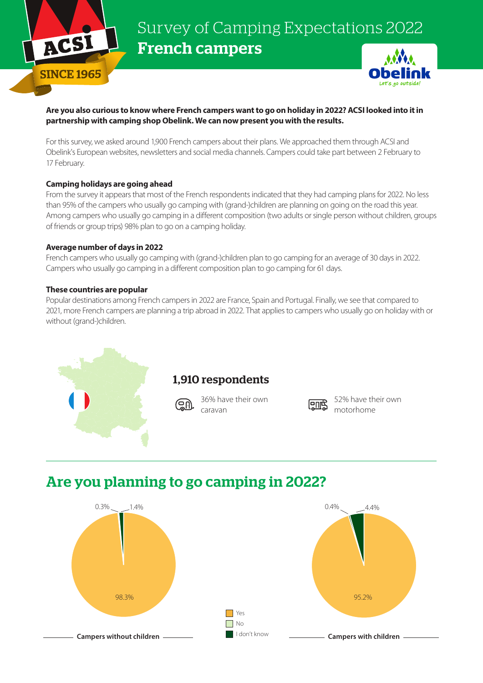

# Survey of Camping Expectations 2022 French campers



#### **Are you also curious to know where French campers want to go on holiday in 2022? ACSI looked into it in partnership with camping shop Obelink. We can now present you with the results.**

For this survey, we asked around 1,900 French campers about their plans. We approached them through ACSI and Obelink's European websites, newsletters and social media channels. Campers could take part between 2 February to 17 February.

#### **Camping holidays are going ahead**

From the survey it appears that most of the French respondents indicated that they had camping plans for 2022. No less than 95% of the campers who usually go camping with (grand-)children are planning on going on the road this year. Among campers who usually go camping in a different composition (two adults or single person without children, groups of friends or group trips) 98% plan to go on a camping holiday.

#### **Average number of days in 2022**

French campers who usually go camping with (grand-)children plan to go camping for an average of 30 days in 2022. Campers who usually go camping in a different composition plan to go camping for 61 days.

#### **These countries are popular**

Popular destinations among French campers in 2022 are France, Spain and Portugal. Finally, we see that compared to 2021, more French campers are planning a trip abroad in 2022. That applies to campers who usually go on holiday with or without (grand-)children.



### Are you planning to go camping in 2022?